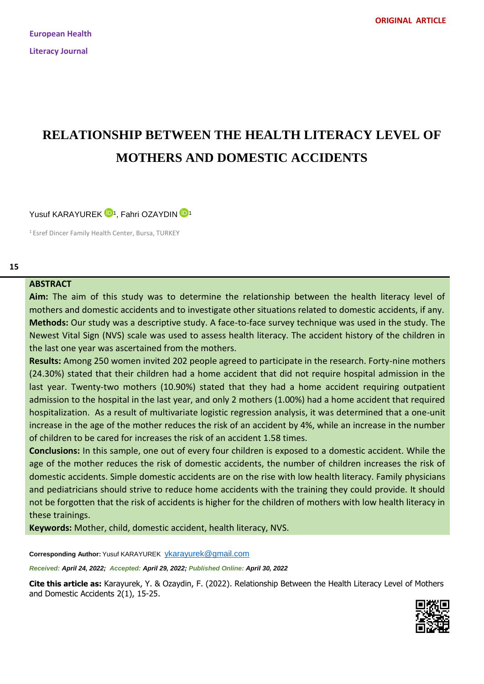# **RELATIONSHIP BETWEEN THE HEALTH LITERACY LEVEL OF MOTHERS AND DOMESTIC ACCIDENTS**

Yusuf KARAYUREK <sup>[1](https://orcid.org/0000-0001-9896-7815)0</sup><sup>1</sup>, Fahri OZAYDIN <sup>10</sup><sup>1</sup>

<sup>1</sup> Esref Dincer Family Health Center, Bursa, TURKEY

## **ABSTRACT**

**Aim:** The aim of this study was to determine the relationship between the health literacy level of mothers and domestic accidents and to investigate other situations related to domestic accidents, if any. **Methods:** Our study was a descriptive study. A face-to-face survey technique was used in the study. The Newest Vital Sign (NVS) scale was used to assess health literacy. The accident history of the children in the last one year was ascertained from the mothers.

**Results:** Among 250 women invited 202 people agreed to participate in the research. Forty-nine mothers (24.30%) stated that their children had a home accident that did not require hospital admission in the last year. Twenty-two mothers (10.90%) stated that they had a home accident requiring outpatient admission to the hospital in the last year, and only 2 mothers (1.00%) had a home accident that required hospitalization. As a result of multivariate logistic regression analysis, it was determined that a one-unit increase in the age of the mother reduces the risk of an accident by 4%, while an increase in the number of children to be cared for increases the risk of an accident 1.58 times.

**Conclusions:** In this sample, one out of every four children is exposed to a domestic accident. While the age of the mother reduces the risk of domestic accidents, the number of children increases the risk of domestic accidents. Simple domestic accidents are on the rise with low health literacy. Family physicians and pediatricians should strive to reduce home accidents with the training they could provide. It should not be forgotten that the risk of accidents is higher for the children of mothers with low health literacy in these trainings.

**Keywords:** Mother, child, domestic accident, health literacy, NVS.

**Corresponding Author:** Yusuf KARAYUREK <ykarayurek@gmail.com>

*Received: April 24, 2022; Accepted: April 29, 2022; Published Online: April 30, 2022*

**Cite this article as:** Karayurek, Y. & Ozaydin, F. (2022). Relationship Between the Health Literacy Level of Mothers and Domestic Accidents 2(1), 15-25.

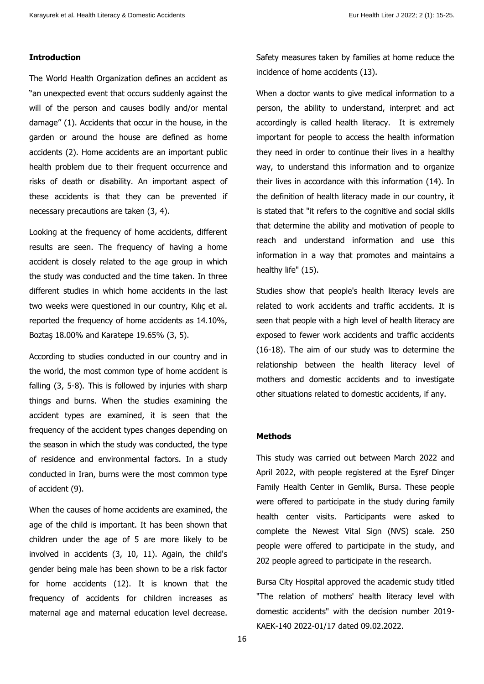# **Introduction**

The World Health Organization defines an accident as "an unexpected event that occurs suddenly against the will of the person and causes bodily and/or mental damage" (1). Accidents that occur in the house, in the garden or around the house are defined as home accidents (2). Home accidents are an important public health problem due to their frequent occurrence and risks of death or disability. An important aspect of these accidents is that they can be prevented if necessary precautions are taken (3, 4).

Looking at the frequency of home accidents, different results are seen. The frequency of having a home accident is closely related to the age group in which the study was conducted and the time taken. In three different studies in which home accidents in the last two weeks were questioned in our country, Kılıç et al. reported the frequency of home accidents as 14.10%, Boztaş 18.00% and Karatepe 19.65% (3, 5).

According to studies conducted in our country and in the world, the most common type of home accident is falling (3, 5-8). This is followed by injuries with sharp things and burns. When the studies examining the accident types are examined, it is seen that the frequency of the accident types changes depending on the season in which the study was conducted, the type of residence and environmental factors. In a study conducted in Iran, burns were the most common type of accident (9).

When the causes of home accidents are examined, the age of the child is important. It has been shown that children under the age of 5 are more likely to be involved in accidents (3, 10, 11). Again, the child's gender being male has been shown to be a risk factor for home accidents (12). It is known that the frequency of accidents for children increases as maternal age and maternal education level decrease.

Safety measures taken by families at home reduce the incidence of home accidents (13).

When a doctor wants to give medical information to a person, the ability to understand, interpret and act accordingly is called health literacy. It is extremely important for people to access the health information they need in order to continue their lives in a healthy way, to understand this information and to organize their lives in accordance with this information (14). In the definition of health literacy made in our country, it is stated that "it refers to the cognitive and social skills that determine the ability and motivation of people to reach and understand information and use this information in a way that promotes and maintains a healthy life" (15).

Studies show that people's health literacy levels are related to work accidents and traffic accidents. It is seen that people with a high level of health literacy are exposed to fewer work accidents and traffic accidents (16-18). The aim of our study was to determine the relationship between the health literacy level of mothers and domestic accidents and to investigate other situations related to domestic accidents, if any.

#### **Methods**

This study was carried out between March 2022 and April 2022, with people registered at the Eşref Dinçer Family Health Center in Gemlik, Bursa. These people were offered to participate in the study during family health center visits. Participants were asked to complete the Newest Vital Sign (NVS) scale. 250 people were offered to participate in the study, and 202 people agreed to participate in the research.

Bursa City Hospital approved the academic study titled "The relation of mothers' health literacy level with domestic accidents" with the decision number 2019- KAEK-140 2022-01/17 dated 09.02.2022.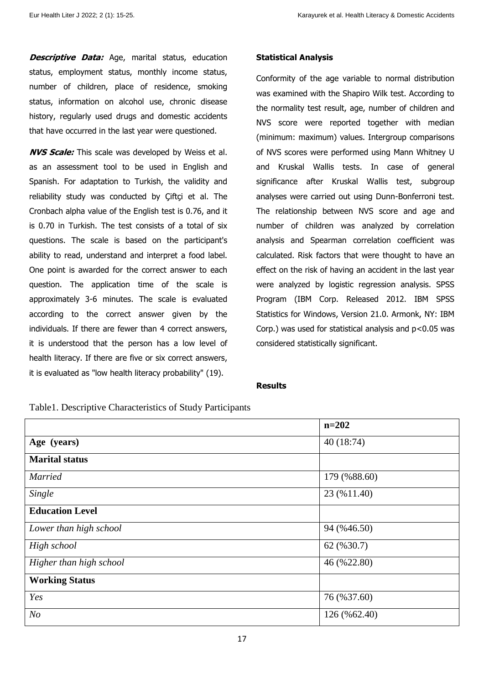**Descriptive Data:** Age, marital status, education status, employment status, monthly income status, number of children, place of residence, smoking status, information on alcohol use, chronic disease history, regularly used drugs and domestic accidents that have occurred in the last year were questioned.

**NVS Scale:** This scale was developed by Weiss et al. as an assessment tool to be used in English and Spanish. For adaptation to Turkish, the validity and reliability study was conducted by Çiftçi et al. The Cronbach alpha value of the English test is 0.76, and it is 0.70 in Turkish. The test consists of a total of six questions. The scale is based on the participant's ability to read, understand and interpret a food label. One point is awarded for the correct answer to each question. The application time of the scale is approximately 3-6 minutes. The scale is evaluated according to the correct answer given by the individuals. If there are fewer than 4 correct answers, it is understood that the person has a low level of health literacy. If there are five or six correct answers, it is evaluated as "low health literacy probability" (19).

# **Statistical Analysis**

Conformity of the age variable to normal distribution was examined with the Shapiro Wilk test. According to the normality test result, age, number of children and NVS score were reported together with median (minimum: maximum) values. Intergroup comparisons of NVS scores were performed using Mann Whitney U and Kruskal Wallis tests. In case of general significance after Kruskal Wallis test, subgroup analyses were carried out using Dunn-Bonferroni test. The relationship between NVS score and age and number of children was analyzed by correlation analysis and Spearman correlation coefficient was calculated. Risk factors that were thought to have an effect on the risk of having an accident in the last year were analyzed by logistic regression analysis. SPSS Program (IBM Corp. Released 2012. IBM SPSS Statistics for Windows, Version 21.0. Armonk, NY: IBM Corp.) was used for statistical analysis and  $p<0.05$  was considered statistically significant.

# **Results**

Table1. Descriptive Characteristics of Study Participants

|                         | $n = 202$    |  |  |  |
|-------------------------|--------------|--|--|--|
| Age (years)             | 40(18:74)    |  |  |  |
| <b>Marital status</b>   |              |  |  |  |
| <b>Married</b>          | 179 (%88.60) |  |  |  |
| Single                  | 23 (%11.40)  |  |  |  |
| <b>Education Level</b>  |              |  |  |  |
| Lower than high school  | 94 (%46.50)  |  |  |  |
| High school             | 62 (%30.7)   |  |  |  |
| Higher than high school | 46 (%22.80)  |  |  |  |
| <b>Working Status</b>   |              |  |  |  |
| Yes                     | 76 (%37.60)  |  |  |  |
| 126 (%62.40)            |              |  |  |  |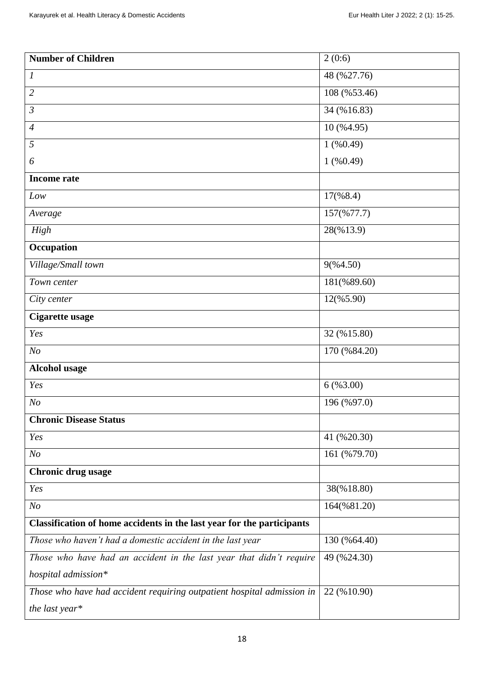| <b>Number of Children</b>                                              | 2(0:6)       |  |  |
|------------------------------------------------------------------------|--------------|--|--|
| 1                                                                      | 48 (%27.76)  |  |  |
| $\overline{2}$                                                         | 108 (%53.46) |  |  |
| $\mathfrak{Z}$                                                         | 34 (%16.83)  |  |  |
| $\overline{4}$                                                         | 10 (%4.95)   |  |  |
| 5                                                                      | $1($ %0.49)  |  |  |
| 6                                                                      | $1($ %0.49)  |  |  |
| <b>Income rate</b>                                                     |              |  |  |
| Low                                                                    | 17(%8.4)     |  |  |
| Average                                                                | 157(%77.7)   |  |  |
| High                                                                   | 28(%13.9)    |  |  |
| Occupation                                                             |              |  |  |
| Village/Small town                                                     | 9(%4.50)     |  |  |
| Town center                                                            | 181(%89.60)  |  |  |
| City center                                                            | 12(%5.90)    |  |  |
| Cigarette usage                                                        |              |  |  |
| Yes                                                                    | 32 (%15.80)  |  |  |
| N <sub>O</sub>                                                         | 170 (%84.20) |  |  |
| <b>Alcohol usage</b>                                                   |              |  |  |
| Yes                                                                    | 6( %3.00)    |  |  |
| N <sub>O</sub>                                                         | 196 (%97.0)  |  |  |
| <b>Chronic Disease Status</b>                                          |              |  |  |
| Yes                                                                    | 41 (%20.30)  |  |  |
| N <sub>O</sub>                                                         | 161 (%79.70) |  |  |
| Chronic drug usage                                                     |              |  |  |
| Yes                                                                    | 38(%18.80)   |  |  |
| N <sub>o</sub>                                                         | 164(%81.20)  |  |  |
| Classification of home accidents in the last year for the participants |              |  |  |
| Those who haven't had a domestic accident in the last year             | 130 (%64.40) |  |  |
| Those who have had an accident in the last year that didn't require    | 49 (%24.30)  |  |  |
| hospital admission*                                                    |              |  |  |
| Those who have had accident requiring outpatient hospital admission in | 22 (%10.90)  |  |  |
| the last year*                                                         |              |  |  |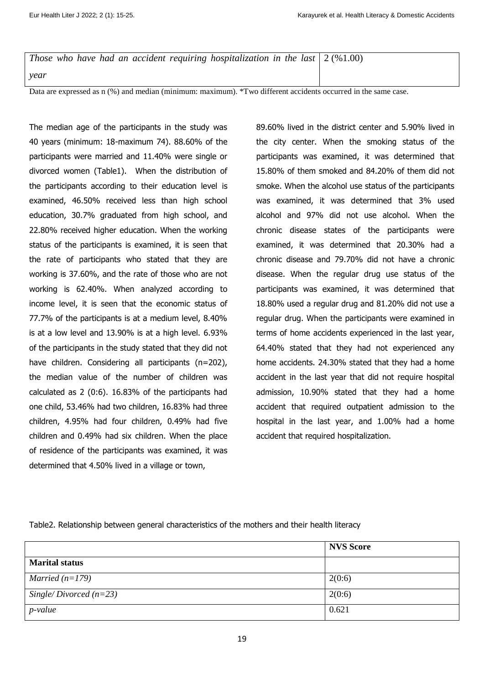*Those who have had an accident requiring hospitalization in the last year* 2 (%1.00)

Data are expressed as n (%) and median (minimum: maximum). \*Two different accidents occurred in the same case.

The median age of the participants in the study was 40 years (minimum: 18-maximum 74). 88.60% of the participants were married and 11.40% were single or divorced women (Table1). When the distribution of the participants according to their education level is examined, 46.50% received less than high school education, 30.7% graduated from high school, and 22.80% received higher education. When the working status of the participants is examined, it is seen that the rate of participants who stated that they are working is 37.60%, and the rate of those who are not working is 62.40%. When analyzed according to income level, it is seen that the economic status of 77.7% of the participants is at a medium level, 8.40% is at a low level and 13.90% is at a high level. 6.93% of the participants in the study stated that they did not have children. Considering all participants (n=202), the median value of the number of children was calculated as 2 (0:6). 16.83% of the participants had one child, 53.46% had two children, 16.83% had three children, 4.95% had four children, 0.49% had five children and 0.49% had six children. When the place of residence of the participants was examined, it was determined that 4.50% lived in a village or town,

89.60% lived in the district center and 5.90% lived in the city center. When the smoking status of the participants was examined, it was determined that 15.80% of them smoked and 84.20% of them did not smoke. When the alcohol use status of the participants was examined, it was determined that 3% used alcohol and 97% did not use alcohol. When the chronic disease states of the participants were examined, it was determined that 20.30% had a chronic disease and 79.70% did not have a chronic disease. When the regular drug use status of the participants was examined, it was determined that 18.80% used a regular drug and 81.20% did not use a regular drug. When the participants were examined in terms of home accidents experienced in the last year, 64.40% stated that they had not experienced any home accidents. 24.30% stated that they had a home accident in the last year that did not require hospital admission, 10.90% stated that they had a home accident that required outpatient admission to the hospital in the last year, and 1.00% had a home accident that required hospitalization.

Table2. Relationship between general characteristics of the mothers and their health literacy

|                          | <b>NVS Score</b> |
|--------------------------|------------------|
| <b>Marital status</b>    |                  |
| Married $(n=179)$        | 2(0:6)           |
| Single/Divorced $(n=23)$ | 2(0:6)           |
| $p$ -value               | 0.621            |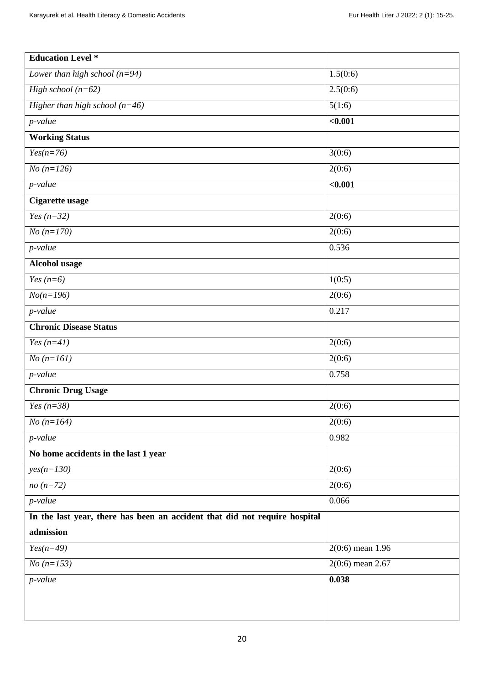| <b>Education Level</b> *                                                   |                    |  |  |  |
|----------------------------------------------------------------------------|--------------------|--|--|--|
| Lower than high school $(n=94)$                                            | 1.5(0:6)           |  |  |  |
| High school $(n=62)$                                                       | 2.5(0:6)           |  |  |  |
| Higher than high school $(n=46)$                                           | 5(1:6)             |  |  |  |
| $p$ -value                                                                 | $0.001$            |  |  |  |
| <b>Working Status</b>                                                      |                    |  |  |  |
| $Yes(n=76)$                                                                | 3(0:6)             |  |  |  |
| $No (n=126)$                                                               | 2(0:6)             |  |  |  |
| $p$ -value                                                                 | $0.001$            |  |  |  |
| Cigarette usage                                                            |                    |  |  |  |
| Yes $(n=32)$                                                               | 2(0:6)             |  |  |  |
| $No (n=170)$                                                               | 2(0:6)             |  |  |  |
| $p$ -value                                                                 | 0.536              |  |  |  |
| Alcohol usage                                                              |                    |  |  |  |
| Yes $(n=6)$                                                                | 1(0:5)             |  |  |  |
| $No(n=196)$                                                                | 2(0:6)             |  |  |  |
| $p$ -value                                                                 | 0.217              |  |  |  |
| <b>Chronic Disease Status</b>                                              |                    |  |  |  |
| Yes $(n=41)$                                                               | 2(0:6)             |  |  |  |
| $No (n=161)$                                                               | 2(0:6)             |  |  |  |
| $p$ -value                                                                 | 0.758              |  |  |  |
| <b>Chronic Drug Usage</b>                                                  |                    |  |  |  |
| Yes $(n=38)$                                                               | 2(0:6)             |  |  |  |
| $No (n=164)$                                                               | 2(0:6)             |  |  |  |
| $p$ -value                                                                 | 0.982              |  |  |  |
| No home accidents in the last 1 year                                       |                    |  |  |  |
| $yes(n=130)$                                                               | 2(0:6)             |  |  |  |
| $no(n=72)$                                                                 | 2(0:6)             |  |  |  |
| $p$ -value                                                                 | 0.066              |  |  |  |
| In the last year, there has been an accident that did not require hospital |                    |  |  |  |
| admission                                                                  |                    |  |  |  |
| $Yes(n=49)$                                                                | $2(0:6)$ mean 1.96 |  |  |  |
| $No (n=153)$                                                               | $2(0:6)$ mean 2.67 |  |  |  |
| $p$ -value                                                                 | 0.038              |  |  |  |
|                                                                            |                    |  |  |  |
|                                                                            |                    |  |  |  |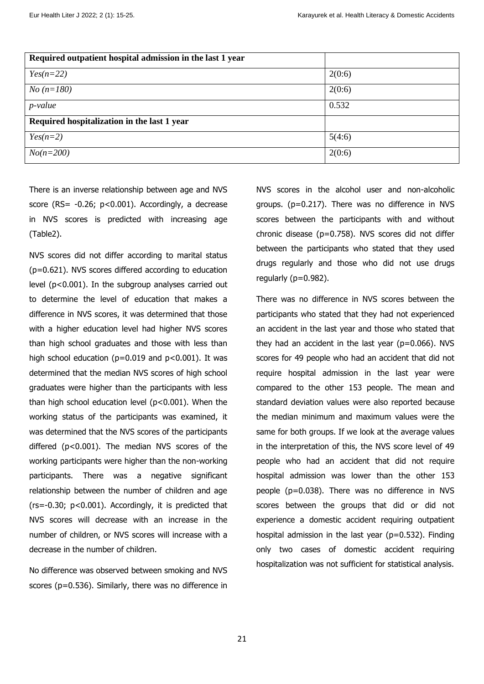| Required outpatient hospital admission in the last 1 year |        |
|-----------------------------------------------------------|--------|
| $Yes(n=22)$                                               | 2(0:6) |
| $No (n=180)$                                              | 2(0:6) |
| p-value                                                   | 0.532  |
| Required hospitalization in the last 1 year               |        |
| $Yes(n=2)$                                                | 5(4:6) |
| $No(n=200)$                                               | 2(0:6) |

There is an inverse relationship between age and NVS score (RS= -0.26; p<0.001). Accordingly, a decrease in NVS scores is predicted with increasing age (Table2).

NVS scores did not differ according to marital status (p=0.621). NVS scores differed according to education level (p<0.001). In the subgroup analyses carried out to determine the level of education that makes a difference in NVS scores, it was determined that those with a higher education level had higher NVS scores than high school graduates and those with less than high school education ( $p=0.019$  and  $p<0.001$ ). It was determined that the median NVS scores of high school graduates were higher than the participants with less than high school education level (p<0.001). When the working status of the participants was examined, it was determined that the NVS scores of the participants differed (p<0.001). The median NVS scores of the working participants were higher than the non-working participants. There was a negative significant relationship between the number of children and age  $(rs=-0.30; p<0.001)$ . Accordingly, it is predicted that NVS scores will decrease with an increase in the number of children, or NVS scores will increase with a decrease in the number of children.

No difference was observed between smoking and NVS scores (p=0.536). Similarly, there was no difference in NVS scores in the alcohol user and non-alcoholic groups. (p=0.217). There was no difference in NVS scores between the participants with and without chronic disease (p=0.758). NVS scores did not differ between the participants who stated that they used drugs regularly and those who did not use drugs regularly (p=0.982).

There was no difference in NVS scores between the participants who stated that they had not experienced an accident in the last year and those who stated that they had an accident in the last year (p=0.066). NVS scores for 49 people who had an accident that did not require hospital admission in the last year were compared to the other 153 people. The mean and standard deviation values were also reported because the median minimum and maximum values were the same for both groups. If we look at the average values in the interpretation of this, the NVS score level of 49 people who had an accident that did not require hospital admission was lower than the other 153 people (p=0.038). There was no difference in NVS scores between the groups that did or did not experience a domestic accident requiring outpatient hospital admission in the last year ( $p=0.532$ ). Finding only two cases of domestic accident requiring hospitalization was not sufficient for statistical analysis.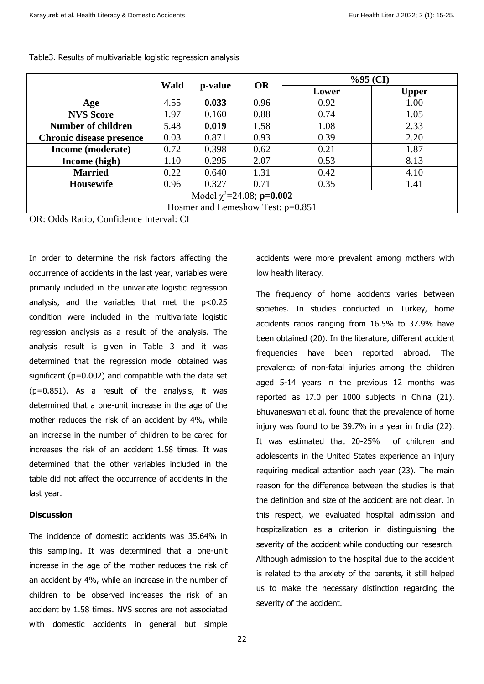|                                       | <b>Wald</b> |         | %95(CI)   |       |              |  |
|---------------------------------------|-------------|---------|-----------|-------|--------------|--|
|                                       |             | p-value | <b>OR</b> | Lower | <b>Upper</b> |  |
| Age                                   | 4.55        | 0.033   | 0.96      | 0.92  | 1.00         |  |
| <b>NVS Score</b>                      | 1.97        | 0.160   | 0.88      | 0.74  | 1.05         |  |
| <b>Number of children</b>             | 5.48        | 0.019   | 1.58      | 1.08  | 2.33         |  |
| <b>Chronic disease presence</b>       | 0.03        | 0.871   | 0.93      | 0.39  | 2.20         |  |
| Income (moderate)                     | 0.72        | 0.398   | 0.62      | 0.21  | 1.87         |  |
| Income (high)                         | 1.10        | 0.295   | 2.07      | 0.53  | 8.13         |  |
| <b>Married</b>                        | 0.22        | 0.640   | 1.31      | 0.42  | 4.10         |  |
| <b>Housewife</b>                      | 0.96        | 0.327   | 0.71      | 0.35  | 1.41         |  |
| Model $\chi^2$ =24.08; <b>p=0.002</b> |             |         |           |       |              |  |
| Hosmer and Lemeshow Test: p=0.851     |             |         |           |       |              |  |
|                                       |             |         |           |       |              |  |

#### Table3. Results of multivariable logistic regression analysis

OR: Odds Ratio, Confidence Interval: CI

In order to determine the risk factors affecting the occurrence of accidents in the last year, variables were primarily included in the univariate logistic regression analysis, and the variables that met the  $p<0.25$ condition were included in the multivariate logistic regression analysis as a result of the analysis. The analysis result is given in Table 3 and it was determined that the regression model obtained was significant ( $p=0.002$ ) and compatible with the data set (p=0.851). As a result of the analysis, it was determined that a one-unit increase in the age of the mother reduces the risk of an accident by 4%, while an increase in the number of children to be cared for increases the risk of an accident 1.58 times. It was determined that the other variables included in the table did not affect the occurrence of accidents in the last year.

## **Discussion**

The incidence of domestic accidents was 35.64% in this sampling. It was determined that a one-unit increase in the age of the mother reduces the risk of an accident by 4%, while an increase in the number of children to be observed increases the risk of an accident by 1.58 times. NVS scores are not associated with domestic accidents in general but simple

accidents were more prevalent among mothers with low health literacy.

The frequency of home accidents varies between societies. In studies conducted in Turkey, home accidents ratios ranging from 16.5% to 37.9% have been obtained (20). In the literature, different accident frequencies have been reported abroad. The prevalence of non-fatal injuries among the children aged 5-14 years in the previous 12 months was reported as 17.0 per 1000 subjects in China (21). Bhuvaneswari et al. found that the prevalence of home injury was found to be 39.7% in a year in India (22). It was estimated that 20-25% of children and adolescents in the United States experience an injury requiring medical attention each year (23). The main reason for the difference between the studies is that the definition and size of the accident are not clear. In this respect, we evaluated hospital admission and hospitalization as a criterion in distinguishing the severity of the accident while conducting our research. Although admission to the hospital due to the accident is related to the anxiety of the parents, it still helped us to make the necessary distinction regarding the severity of the accident.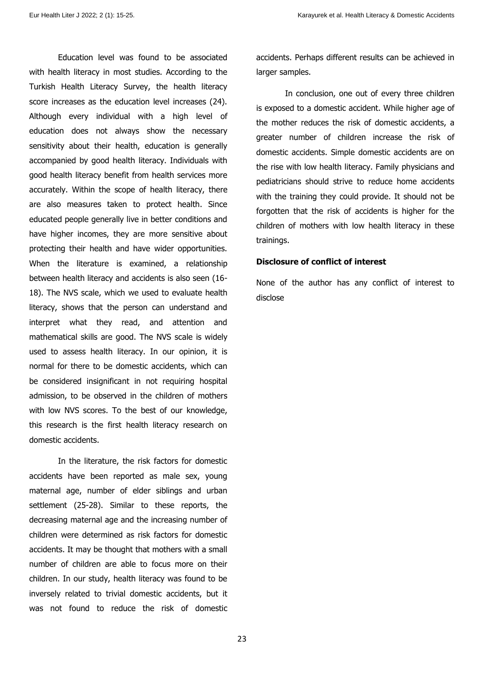Education level was found to be associated with health literacy in most studies. According to the Turkish Health Literacy Survey, the health literacy score increases as the education level increases (24). Although every individual with a high level of education does not always show the necessary sensitivity about their health, education is generally accompanied by good health literacy. Individuals with good health literacy benefit from health services more accurately. Within the scope of health literacy, there are also measures taken to protect health. Since educated people generally live in better conditions and have higher incomes, they are more sensitive about protecting their health and have wider opportunities. When the literature is examined, a relationship between health literacy and accidents is also seen (16- 18). The NVS scale, which we used to evaluate health literacy, shows that the person can understand and interpret what they read, and attention and mathematical skills are good. The NVS scale is widely used to assess health literacy. In our opinion, it is normal for there to be domestic accidents, which can be considered insignificant in not requiring hospital admission, to be observed in the children of mothers with low NVS scores. To the best of our knowledge, this research is the first health literacy research on domestic accidents.

In the literature, the risk factors for domestic accidents have been reported as male sex, young maternal age, number of elder siblings and urban settlement (25-28). Similar to these reports, the decreasing maternal age and the increasing number of children were determined as risk factors for domestic accidents. It may be thought that mothers with a small number of children are able to focus more on their children. In our study, health literacy was found to be inversely related to trivial domestic accidents, but it was not found to reduce the risk of domestic

accidents. Perhaps different results can be achieved in larger samples.

In conclusion, one out of every three children is exposed to a domestic accident. While higher age of the mother reduces the risk of domestic accidents, a greater number of children increase the risk of domestic accidents. Simple domestic accidents are on the rise with low health literacy. Family physicians and pediatricians should strive to reduce home accidents with the training they could provide. It should not be forgotten that the risk of accidents is higher for the children of mothers with low health literacy in these trainings.

## **Disclosure of conflict of interest**

None of the author has any conflict of interest to disclose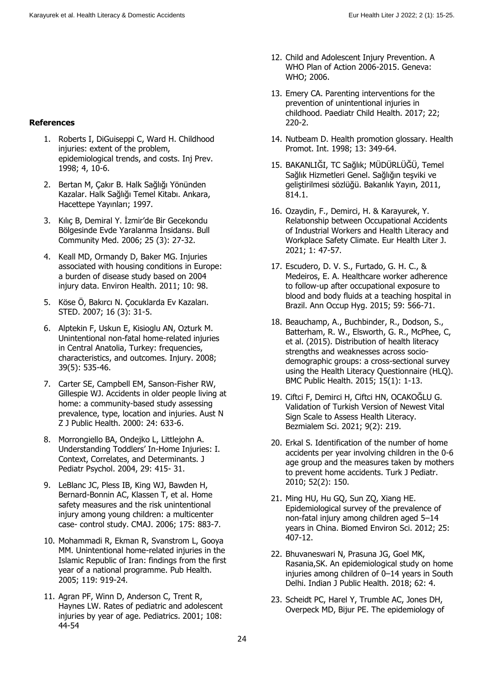- **References**
	- 1. Roberts I, DiGuiseppi C, Ward H. Childhood injuries: extent of the problem. epidemiological trends, and costs. Inj Prev. 1998; 4, 10-6.
	- 2. Bertan M, Çakır B. Halk Sağlığı Yönünden Kazalar. Halk Sağlığı Temel Kitabı. Ankara, Hacettepe Yayınları; 1997.
	- 3. Kılıç B, Demiral Y. İzmir'de Bir Gecekondu Bölgesinde Evde Yaralanma İnsidansı. Bull Community Med. 2006; 25 (3): 27-32.
	- 4. Keall MD, Ormandy D, Baker MG. Injuries associated with housing conditions in Europe: a burden of disease study based on 2004 injury data. Environ Health. 2011; 10: 98.
	- 5. Köse Ö, Bakırcı N. Çocuklarda Ev Kazaları. STED. 2007; 16 (3): 31-5.
	- 6. Alptekin F, Uskun E, Kisioglu AN, Ozturk M. Unintentional non-fatal home-related injuries in Central Anatolia, Turkey: frequencies, characteristics, and outcomes. Injury. 2008; 39(5): 535-46.
	- 7. Carter SE, Campbell EM, Sanson‐Fisher RW, Gillespie WJ. Accidents in older people living at home: a community‐based study assessing prevalence, type, location and injuries. Aust N Z J Public Health. 2000: 24: 633-6.
	- 8. Morrongiello BA, Ondejko L, Littlejohn A. Understanding Toddlers' In-Home Injuries: I. Context, Correlates, and Determinants. J Pediatr Psychol. 2004, 29: 415- 31.
	- 9. LeBlanc JC, Pless IB, King WJ, Bawden H, Bernard-Bonnin AC, Klassen T, et al. Home safety measures and the risk unintentional injury among young children: a multicenter case- control study. CMAJ. 2006; 175: 883-7.
	- 10. Mohammadi R, Ekman R, Svanstrom L, Gooya MM. Unintentional home-related injuries in the Islamic Republic of Iran: findings from the first year of a national programme. Pub Health. 2005; 119: 919-24.
	- 11. Agran PF, Winn D, Anderson C, Trent R, Haynes LW. Rates of pediatric and adolescent injuries by year of age. Pediatrics. 2001; 108: 44-54
- 12. Child and Adolescent Injury Prevention. A WHO Plan of Action 2006-2015. Geneva: WHO; 2006.
- 13. Emery CA. Parenting interventions for the prevention of unintentional injuries in childhood. Paediatr Child Health. 2017; 22; 220-2.
- 14. Nutbeam D. Health promotion glossary. Health Promot. Int. 1998; 13: 349-64.
- 15. BAKANLIĞI, TC Sağlık; MÜDÜRLÜĞÜ, Temel Sağlık Hizmetleri Genel. Sağlığın teşviki ve geliştirilmesi sözlüğü. Bakanlık Yayın, 2011, 814.1.
- 16. Ozaydin, F., Demirci, H. & Karayurek, Y. Relatıonship between Occupational Accidents of Industrial Workers and Health Literacy and Workplace Safety Climate. Eur Health Liter J. 2021; 1: 47-57.
- 17. Escudero, D. V. S., Furtado, G. H. C., & Medeiros, E. A. Healthcare worker adherence to follow-up after occupational exposure to blood and body fluids at a teaching hospital in Brazil. Ann Occup Hyg. 2015; 59: 566-71.
- 18. Beauchamp, A., Buchbinder, R., Dodson, S., Batterham, R. W., Elsworth, G. R., McPhee, C, et al. (2015). Distribution of health literacy strengths and weaknesses across sociodemographic groups: a cross-sectional survey using the Health Literacy Questionnaire (HLQ). BMC Public Health. 2015; 15(1): 1-13.
- 19. Ciftci F, Demirci H, Ciftci HN, OCAKOĞLU G. Validation of Turkish Version of Newest Vital Sign Scale to Assess Health Literacy. Bezmialem Sci. 2021; 9(2): 219.
- 20. Erkal S. Identification of the number of home accidents per year involving children in the 0-6 age group and the measures taken by mothers to prevent home accidents. Turk J Pediatr. 2010; 52(2): 150.
- 21. Ming HU, Hu GQ, Sun ZQ, Xiang HE. Epidemiological survey of the prevalence of non-fatal injury among children aged 5–14 years in China. Biomed Environ Sci. 2012; 25: 407-12.
- 22. Bhuvaneswari N, Prasuna JG, Goel MK, Rasania,SK. An epidemiological study on home injuries among children of 0–14 years in South Delhi. Indian J Public Health. 2018; 62: 4.
- 23. Scheidt PC, Harel Y, Trumble AC, Jones DH, Overpeck MD, Bijur PE. The epidemiology of